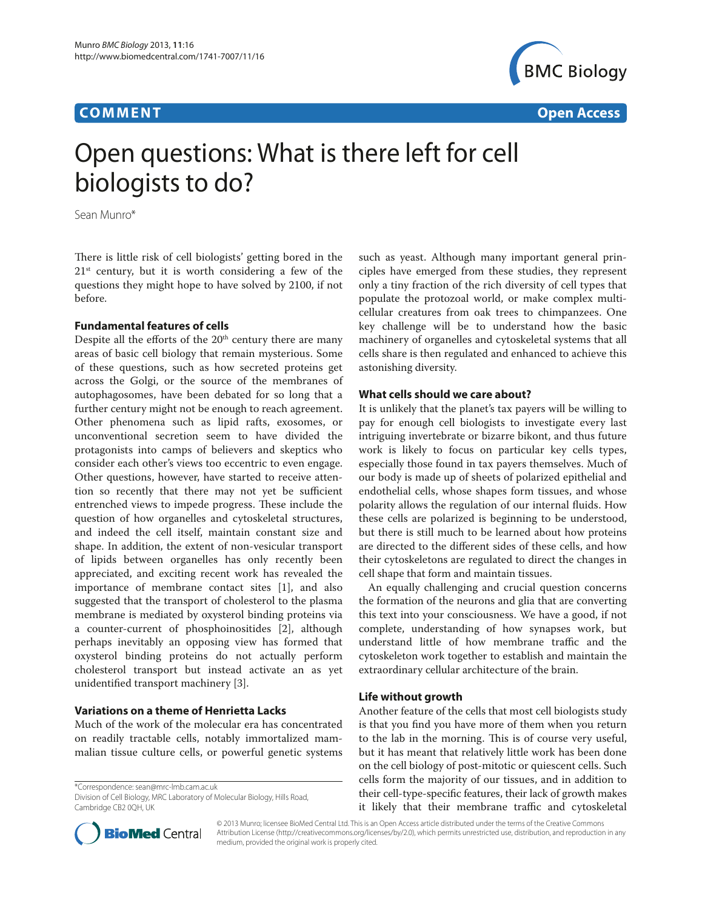

**COMMENT COMMENT COMMENT** 

# Open questions: What is there left for cell biologists to do?

Sean Munro\*

There is little risk of cell biologists' getting bored in the  $21<sup>st</sup>$  century, but it is worth considering a few of the questions they might hope to have solved by 2100, if not before.

# **Fundamental features of cells**

Despite all the efforts of the  $20<sup>th</sup>$  century there are many areas of basic cell biology that remain mysterious. Some of these questions, such as how secreted proteins get across the Golgi, or the source of the membranes of autophagosomes, have been debated for so long that a further century might not be enough to reach agreement. Other phenomena such as lipid rafts, exosomes, or unconventional secretion seem to have divided the protagonists into camps of believers and skeptics who consider each other's views too eccentric to even engage. Other questions, however, have started to receive attention so recently that there may not yet be sufficient entrenched views to impede progress. These include the question of how organelles and cytoskeletal structures, and indeed the cell itself, maintain constant size and shape. In addition, the extent of non-vesicular transport of lipids between organelles has only recently been appreciated, and exciting recent work has revealed the importance of membrane contact sites [1], and also suggested that the transport of cholesterol to the plasma membrane is mediated by oxysterol binding proteins via a counter-current of phosphoinositides [2], although perhaps inevitably an opposing view has formed that oxysterol binding proteins do not actually perform cholesterol transport but instead activate an as yet unidentified transport machinery [3].

# **Variations on a theme of Henrietta Lacks**

Much of the work of the molecular era has concentrated on readily tractable cells, notably immortalized mammalian tissue culture cells, or powerful genetic systems

\*Correspondence: sean@mrc-lmb.cam.ac.uk

Division of Cell Biology, MRC Laboratory of Molecular Biology, Hills Road, Cambridge CB2 0QH, UK



such as yeast. Although many important general principles have emerged from these studies, they represent only a tiny fraction of the rich diversity of cell types that populate the protozoal world, or make complex multicellular creatures from oak trees to chimpanzees. One key challenge will be to understand how the basic machinery of organelles and cytoskeletal systems that all cells share is then regulated and enhanced to achieve this astonishing diversity.

# **What cells should we care about?**

It is unlikely that the planet's tax payers will be willing to pay for enough cell biologists to investigate every last intriguing invertebrate or bizarre bikont, and thus future work is likely to focus on particular key cells types, especially those found in tax payers themselves. Much of our body is made up of sheets of polarized epithelial and endothelial cells, whose shapes form tissues, and whose polarity allows the regulation of our internal fluids. How these cells are polarized is beginning to be understood, but there is still much to be learned about how proteins are directed to the different sides of these cells, and how their cytoskeletons are regulated to direct the changes in cell shape that form and maintain tissues.

An equally challenging and crucial question concerns the formation of the neurons and glia that are converting this text into your consciousness. We have a good, if not complete, understanding of how synapses work, but understand little of how membrane traffic and the cytoskeleton work together to establish and maintain the extraordinary cellular architecture of the brain.

### **Life without growth**

Another feature of the cells that most cell biologists study is that you find you have more of them when you return to the lab in the morning. This is of course very useful, but it has meant that relatively little work has been done on the cell biology of post-mitotic or quiescent cells. Such cells form the majority of our tissues, and in addition to their cell-type-specific features, their lack of growth makes it likely that their membrane traffic and cytoskeletal

© 2013 Munro; licensee BioMed Central Ltd. This is an Open Access article distributed under the terms of the Creative Commons Attribution License (http://creativecommons.org/licenses/by/2.0), which permits unrestricted use, distribution, and reproduction in any medium, provided the original work is properly cited.